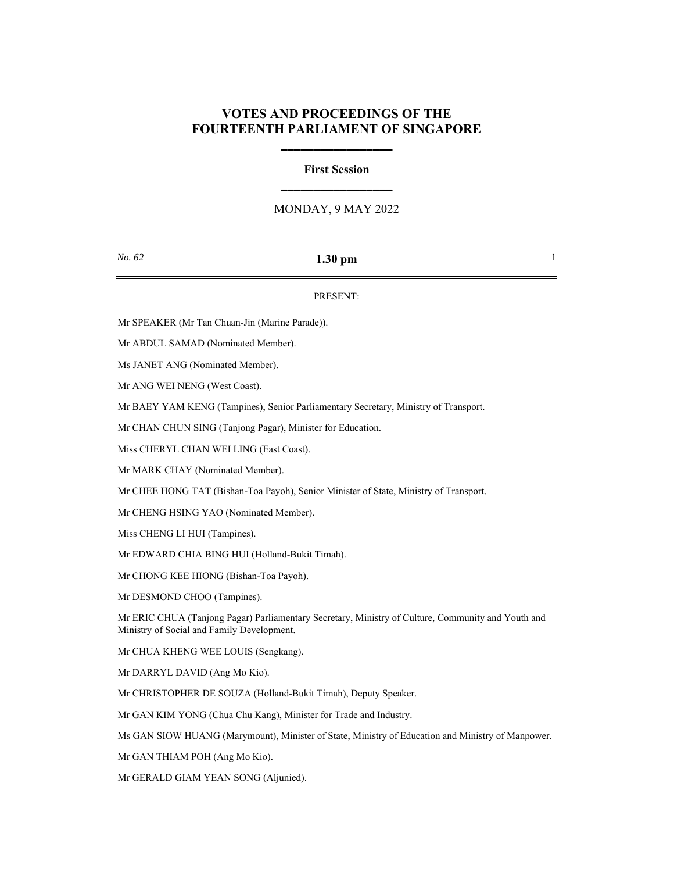## **VOTES AND PROCEEDINGS OF THE FOURTEENTH PARLIAMENT OF SINGAPORE**

**\_\_\_\_\_\_\_\_\_\_\_\_\_\_\_\_\_**

# **First Session \_\_\_\_\_\_\_\_\_\_\_\_\_\_\_\_\_**

### MONDAY, 9 MAY 2022

## *No.* **62 1.30 pm** 1

### PRESENT:

Mr SPEAKER (Mr Tan Chuan-Jin (Marine Parade)).

Mr ABDUL SAMAD (Nominated Member).

Ms JANET ANG (Nominated Member).

Mr ANG WEI NENG (West Coast).

Mr BAEY YAM KENG (Tampines), Senior Parliamentary Secretary, Ministry of Transport.

Mr CHAN CHUN SING (Tanjong Pagar), Minister for Education.

Miss CHERYL CHAN WEI LING (East Coast).

Mr MARK CHAY (Nominated Member).

Mr CHEE HONG TAT (Bishan-Toa Payoh), Senior Minister of State, Ministry of Transport.

Mr CHENG HSING YAO (Nominated Member).

Miss CHENG LI HUI (Tampines).

Mr EDWARD CHIA BING HUI (Holland-Bukit Timah).

Mr CHONG KEE HIONG (Bishan-Toa Payoh).

Mr DESMOND CHOO (Tampines).

Mr ERIC CHUA (Tanjong Pagar) Parliamentary Secretary, Ministry of Culture, Community and Youth and Ministry of Social and Family Development.

Mr CHUA KHENG WEE LOUIS (Sengkang).

Mr DARRYL DAVID (Ang Mo Kio).

Mr CHRISTOPHER DE SOUZA (Holland-Bukit Timah), Deputy Speaker.

Mr GAN KIM YONG (Chua Chu Kang), Minister for Trade and Industry.

Ms GAN SIOW HUANG (Marymount), Minister of State, Ministry of Education and Ministry of Manpower.

Mr GAN THIAM POH (Ang Mo Kio).

Mr GERALD GIAM YEAN SONG (Aljunied).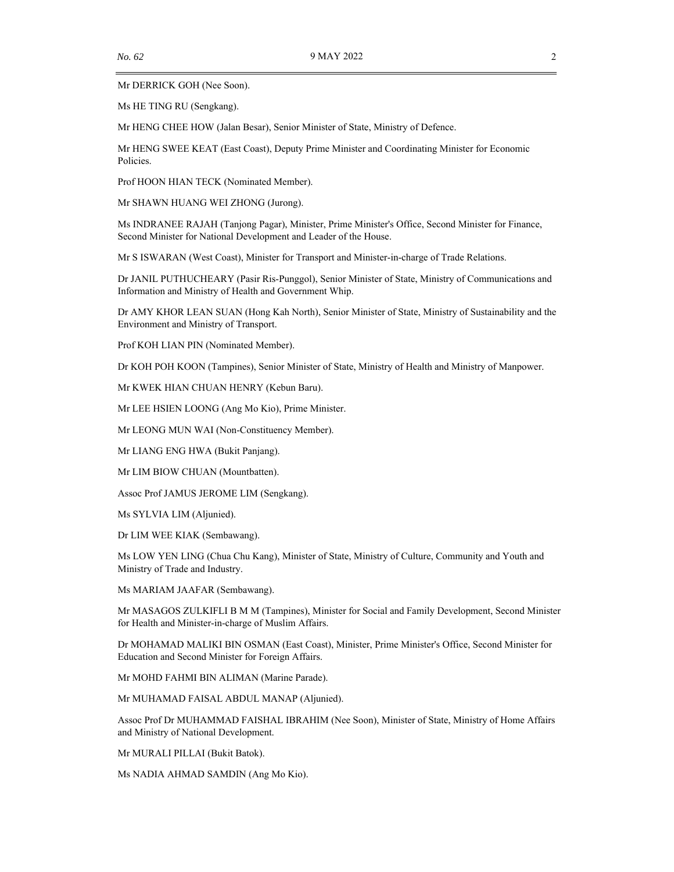Mr DERRICK GOH (Nee Soon).

Ms HE TING RU (Sengkang).

Mr HENG CHEE HOW (Jalan Besar), Senior Minister of State, Ministry of Defence.

Mr HENG SWEE KEAT (East Coast), Deputy Prime Minister and Coordinating Minister for Economic Policies.

Prof HOON HIAN TECK (Nominated Member).

Mr SHAWN HUANG WEI ZHONG (Jurong).

Ms INDRANEE RAJAH (Tanjong Pagar), Minister, Prime Minister's Office, Second Minister for Finance, Second Minister for National Development and Leader of the House.

Mr S ISWARAN (West Coast), Minister for Transport and Minister-in-charge of Trade Relations.

Dr JANIL PUTHUCHEARY (Pasir Ris-Punggol), Senior Minister of State, Ministry of Communications and Information and Ministry of Health and Government Whip.

Dr AMY KHOR LEAN SUAN (Hong Kah North), Senior Minister of State, Ministry of Sustainability and the Environment and Ministry of Transport.

Prof KOH LIAN PIN (Nominated Member).

Dr KOH POH KOON (Tampines), Senior Minister of State, Ministry of Health and Ministry of Manpower.

Mr KWEK HIAN CHUAN HENRY (Kebun Baru).

Mr LEE HSIEN LOONG (Ang Mo Kio), Prime Minister.

Mr LEONG MUN WAI (Non-Constituency Member).

Mr LIANG ENG HWA (Bukit Panjang).

Mr LIM BIOW CHUAN (Mountbatten).

Assoc Prof JAMUS JEROME LIM (Sengkang).

Ms SYLVIA LIM (Aljunied).

Dr LIM WEE KIAK (Sembawang).

Ms LOW YEN LING (Chua Chu Kang), Minister of State, Ministry of Culture, Community and Youth and Ministry of Trade and Industry.

Ms MARIAM JAAFAR (Sembawang).

Mr MASAGOS ZULKIFLI B M M (Tampines), Minister for Social and Family Development, Second Minister for Health and Minister-in-charge of Muslim Affairs.

Dr MOHAMAD MALIKI BIN OSMAN (East Coast), Minister, Prime Minister's Office, Second Minister for Education and Second Minister for Foreign Affairs.

Mr MOHD FAHMI BIN ALIMAN (Marine Parade).

Mr MUHAMAD FAISAL ABDUL MANAP (Aljunied).

Assoc Prof Dr MUHAMMAD FAISHAL IBRAHIM (Nee Soon), Minister of State, Ministry of Home Affairs and Ministry of National Development.

Mr MURALI PILLAI (Bukit Batok).

Ms NADIA AHMAD SAMDIN (Ang Mo Kio).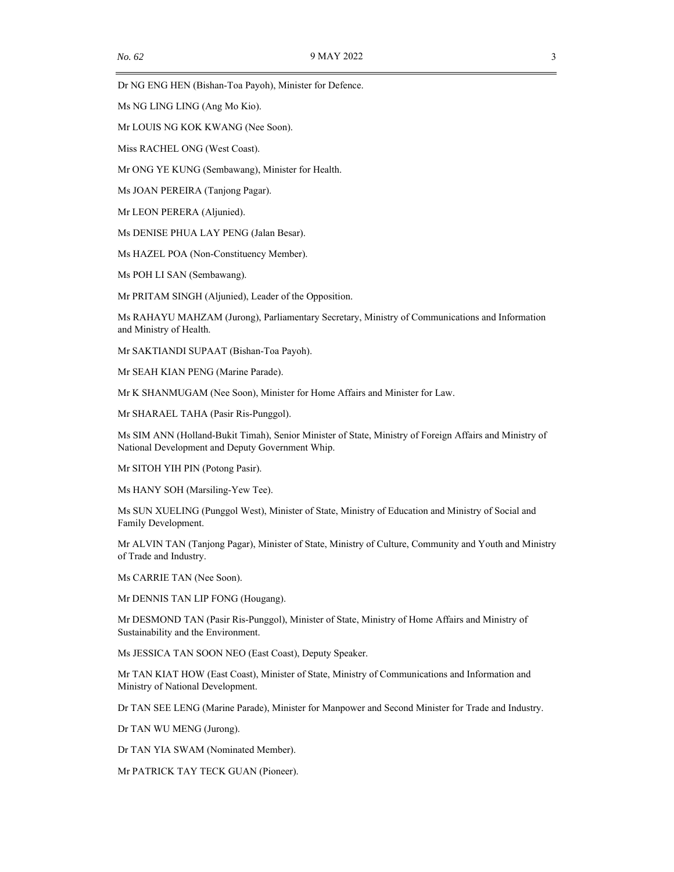Dr NG ENG HEN (Bishan-Toa Payoh), Minister for Defence.

Ms NG LING LING (Ang Mo Kio).

Mr LOUIS NG KOK KWANG (Nee Soon).

Miss RACHEL ONG (West Coast).

Mr ONG YE KUNG (Sembawang), Minister for Health.

Ms JOAN PEREIRA (Tanjong Pagar).

Mr LEON PERERA (Aljunied).

Ms DENISE PHUA LAY PENG (Jalan Besar).

Ms HAZEL POA (Non-Constituency Member).

Ms POH LI SAN (Sembawang).

Mr PRITAM SINGH (Aljunied), Leader of the Opposition.

Ms RAHAYU MAHZAM (Jurong), Parliamentary Secretary, Ministry of Communications and Information and Ministry of Health.

Mr SAKTIANDI SUPAAT (Bishan-Toa Payoh).

Mr SEAH KIAN PENG (Marine Parade).

Mr K SHANMUGAM (Nee Soon), Minister for Home Affairs and Minister for Law.

Mr SHARAEL TAHA (Pasir Ris-Punggol).

Ms SIM ANN (Holland-Bukit Timah), Senior Minister of State, Ministry of Foreign Affairs and Ministry of National Development and Deputy Government Whip.

Mr SITOH YIH PIN (Potong Pasir).

Ms HANY SOH (Marsiling-Yew Tee).

Ms SUN XUELING (Punggol West), Minister of State, Ministry of Education and Ministry of Social and Family Development.

Mr ALVIN TAN (Tanjong Pagar), Minister of State, Ministry of Culture, Community and Youth and Ministry of Trade and Industry.

Ms CARRIE TAN (Nee Soon).

Mr DENNIS TAN LIP FONG (Hougang).

Mr DESMOND TAN (Pasir Ris-Punggol), Minister of State, Ministry of Home Affairs and Ministry of Sustainability and the Environment.

Ms JESSICA TAN SOON NEO (East Coast), Deputy Speaker.

Mr TAN KIAT HOW (East Coast), Minister of State, Ministry of Communications and Information and Ministry of National Development.

Dr TAN SEE LENG (Marine Parade), Minister for Manpower and Second Minister for Trade and Industry.

Dr TAN WU MENG (Jurong).

Dr TAN YIA SWAM (Nominated Member).

Mr PATRICK TAY TECK GUAN (Pioneer).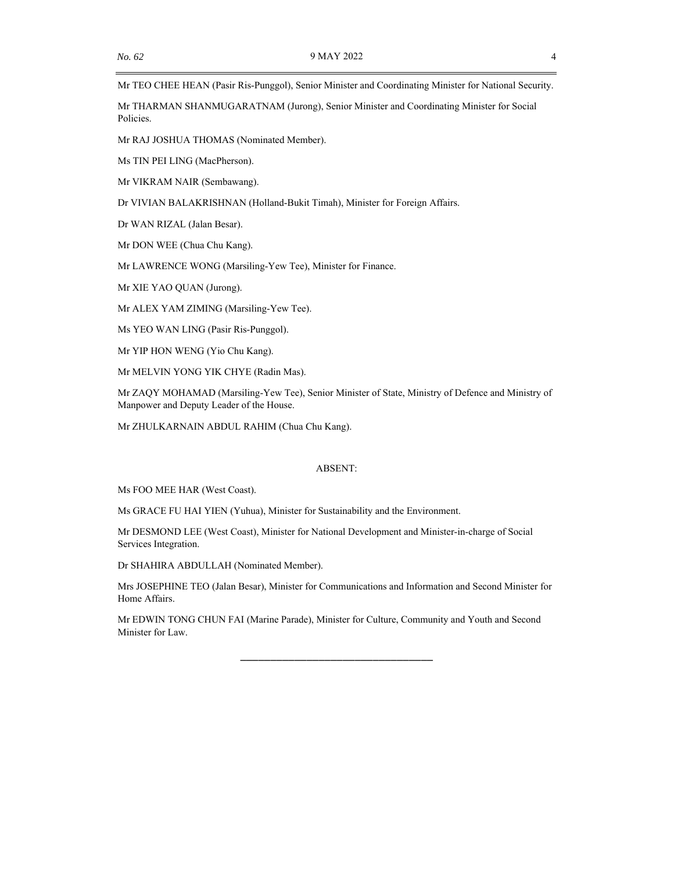Mr TEO CHEE HEAN (Pasir Ris-Punggol), Senior Minister and Coordinating Minister for National Security.

Mr THARMAN SHANMUGARATNAM (Jurong), Senior Minister and Coordinating Minister for Social Policies.

Mr RAJ JOSHUA THOMAS (Nominated Member).

Ms TIN PEI LING (MacPherson).

Mr VIKRAM NAIR (Sembawang).

Dr VIVIAN BALAKRISHNAN (Holland-Bukit Timah), Minister for Foreign Affairs.

Dr WAN RIZAL (Jalan Besar).

Mr DON WEE (Chua Chu Kang).

Mr LAWRENCE WONG (Marsiling-Yew Tee), Minister for Finance.

Mr XIE YAO QUAN (Jurong).

Mr ALEX YAM ZIMING (Marsiling-Yew Tee).

Ms YEO WAN LING (Pasir Ris-Punggol).

Mr YIP HON WENG (Yio Chu Kang).

Mr MELVIN YONG YIK CHYE (Radin Mas).

Mr ZAQY MOHAMAD (Marsiling-Yew Tee), Senior Minister of State, Ministry of Defence and Ministry of Manpower and Deputy Leader of the House.

Mr ZHULKARNAIN ABDUL RAHIM (Chua Chu Kang).

#### ABSENT:

Ms FOO MEE HAR (West Coast).

Ms GRACE FU HAI YIEN (Yuhua), Minister for Sustainability and the Environment.

Mr DESMOND LEE (West Coast), Minister for National Development and Minister-in-charge of Social Services Integration.

Dr SHAHIRA ABDULLAH (Nominated Member).

Mrs JOSEPHINE TEO (Jalan Besar), Minister for Communications and Information and Second Minister for Home Affairs.

Mr EDWIN TONG CHUN FAI (Marine Parade), Minister for Culture, Community and Youth and Second Minister for Law.

\_\_\_\_\_\_\_\_\_\_\_\_\_\_\_\_\_\_\_\_\_\_\_\_\_\_\_\_\_\_\_\_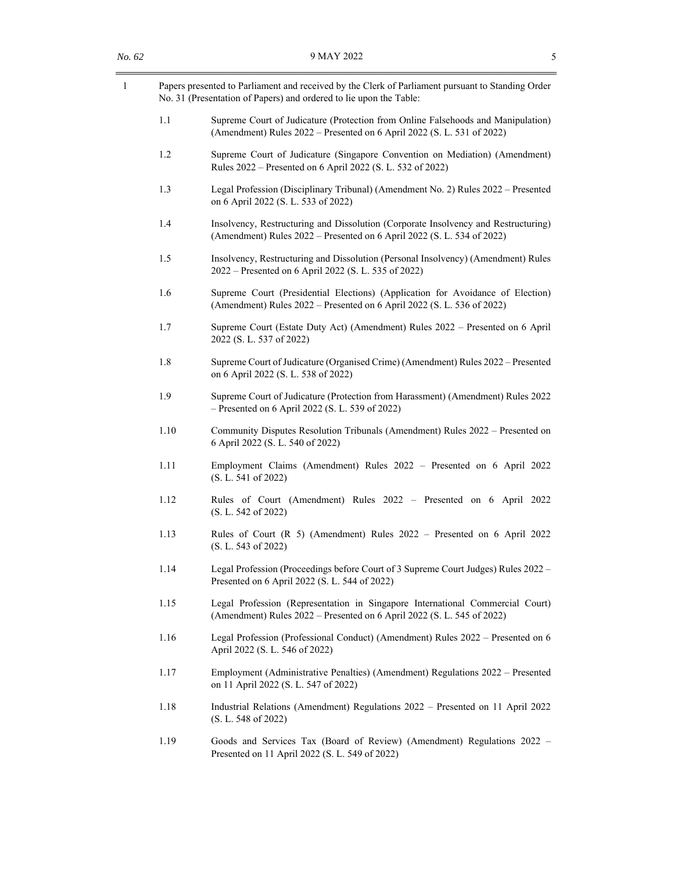| $\mathbf{1}$ | Papers presented to Parliament and received by the Clerk of Parliament pursuant to Standing Order<br>No. 31 (Presentation of Papers) and ordered to lie upon the Table: |
|--------------|-------------------------------------------------------------------------------------------------------------------------------------------------------------------------|
| 1.1          | Supreme Court of Judicature (Protection from Online Falsehoods and Manipulation)<br>(Amendment) Rules 2022 – Presented on 6 April 2022 (S. L. 531 of 2022)              |
| 1.2          | Supreme Court of Judicature (Singapore Convention on Mediation) (Amendment)<br>Rules 2022 – Presented on 6 April 2022 (S. L. 532 of 2022)                               |
| 1.3          | Legal Profession (Disciplinary Tribunal) (Amendment No. 2) Rules 2022 - Presented<br>on 6 April 2022 (S. L. 533 of 2022)                                                |
| 1.4          | Insolvency, Restructuring and Dissolution (Corporate Insolvency and Restructuring)<br>(Amendment) Rules 2022 – Presented on 6 April 2022 (S. L. 534 of 2022)            |
| 1.5          | Insolvency, Restructuring and Dissolution (Personal Insolvency) (Amendment) Rules<br>2022 – Presented on 6 April 2022 (S. L. 535 of 2022)                               |
| 1.6          | Supreme Court (Presidential Elections) (Application for Avoidance of Election)<br>(Amendment) Rules 2022 – Presented on 6 April 2022 (S. L. 536 of 2022)                |
| 1.7          | Supreme Court (Estate Duty Act) (Amendment) Rules 2022 – Presented on 6 April<br>2022 (S. L. 537 of 2022)                                                               |
| 1.8          | Supreme Court of Judicature (Organised Crime) (Amendment) Rules 2022 - Presented<br>on 6 April 2022 (S. L. 538 of 2022)                                                 |
| 1.9          | Supreme Court of Judicature (Protection from Harassment) (Amendment) Rules 2022<br>$-$ Presented on 6 April 2022 (S. L. 539 of 2022)                                    |
| 1.10         | Community Disputes Resolution Tribunals (Amendment) Rules 2022 – Presented on<br>6 April 2022 (S. L. 540 of 2022)                                                       |
| 1.11         | Employment Claims (Amendment) Rules 2022 - Presented on 6 April 2022<br>(S. L. 541 of 2022)                                                                             |
| 1.12         | Rules of Court (Amendment) Rules 2022 - Presented on 6 April 2022<br>(S. L. 542 of 2022)                                                                                |
| 1.13         | Rules of Court $(R 5)$ (Amendment) Rules 2022 – Presented on 6 April 2022<br>(S. L. 543 of 2022)                                                                        |
| 1.14         | Legal Profession (Proceedings before Court of 3 Supreme Court Judges) Rules 2022 -<br>Presented on 6 April 2022 (S. L. 544 of 2022)                                     |
| 1.15         | Legal Profession (Representation in Singapore International Commercial Court)<br>(Amendment) Rules 2022 – Presented on 6 April 2022 (S. L. 545 of 2022)                 |
| 1.16         | Legal Profession (Professional Conduct) (Amendment) Rules 2022 - Presented on 6<br>April 2022 (S. L. 546 of 2022)                                                       |
| 1.17         | Employment (Administrative Penalties) (Amendment) Regulations 2022 – Presented<br>on 11 April 2022 (S. L. 547 of 2022)                                                  |
| 1.18         | Industrial Relations (Amendment) Regulations 2022 - Presented on 11 April 2022<br>(S. L. 548 of 2022)                                                                   |
| 1.19         | Goods and Services Tax (Board of Review) (Amendment) Regulations 2022 –<br>Presented on 11 April 2022 (S. L. 549 of 2022)                                               |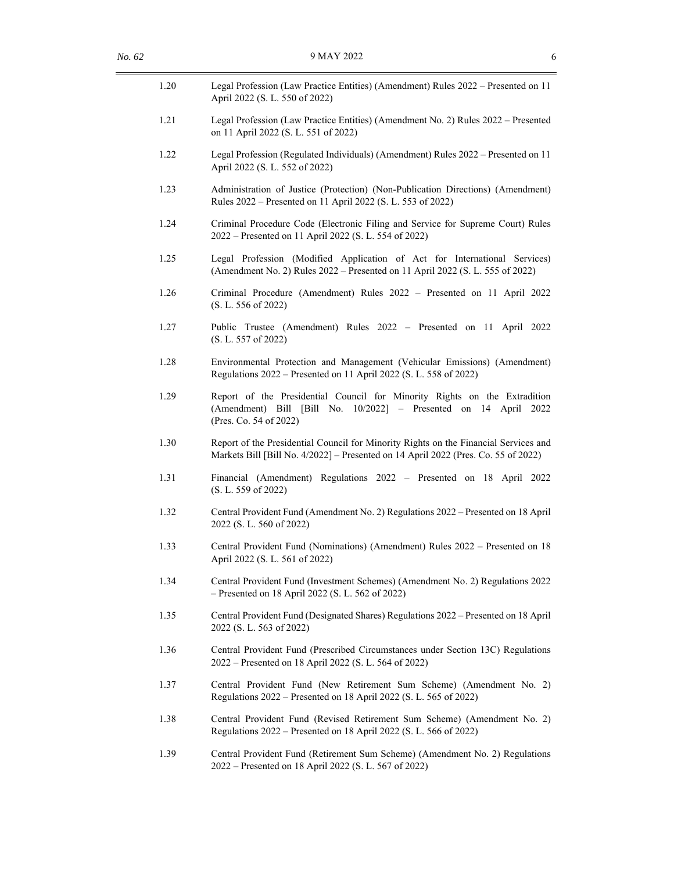| 1.20 | Legal Profession (Law Practice Entities) (Amendment) Rules 2022 – Presented on 11<br>April 2022 (S. L. 550 of 2022)                                                        |
|------|----------------------------------------------------------------------------------------------------------------------------------------------------------------------------|
| 1.21 | Legal Profession (Law Practice Entities) (Amendment No. 2) Rules 2022 - Presented<br>on 11 April 2022 (S. L. 551 of 2022)                                                  |
| 1.22 | Legal Profession (Regulated Individuals) (Amendment) Rules 2022 - Presented on 11<br>April 2022 (S. L. 552 of 2022)                                                        |
| 1.23 | Administration of Justice (Protection) (Non-Publication Directions) (Amendment)<br>Rules 2022 – Presented on 11 April 2022 (S. L. 553 of 2022)                             |
| 1.24 | Criminal Procedure Code (Electronic Filing and Service for Supreme Court) Rules<br>2022 – Presented on 11 April 2022 (S. L. 554 of 2022)                                   |
| 1.25 | Legal Profession (Modified Application of Act for International Services)<br>(Amendment No. 2) Rules 2022 - Presented on 11 April 2022 (S. L. 555 of 2022)                 |
| 1.26 | Criminal Procedure (Amendment) Rules 2022 - Presented on 11 April 2022<br>(S. L. 556 of 2022)                                                                              |
| 1.27 | Public Trustee (Amendment) Rules 2022 – Presented on 11 April 2022<br>(S. L. 557 of 2022)                                                                                  |
| 1.28 | Environmental Protection and Management (Vehicular Emissions) (Amendment)<br>Regulations 2022 – Presented on 11 April 2022 (S. L. 558 of 2022)                             |
| 1.29 | Report of the Presidential Council for Minority Rights on the Extradition<br>(Amendment) Bill [Bill No. 10/2022] - Presented on 14 April 2022<br>(Pres. Co. 54 of 2022)    |
| 1.30 | Report of the Presidential Council for Minority Rights on the Financial Services and<br>Markets Bill [Bill No. 4/2022] - Presented on 14 April 2022 (Pres. Co. 55 of 2022) |
| 1.31 | Financial (Amendment) Regulations 2022 - Presented on 18 April 2022<br>(S. L. 559 of 2022)                                                                                 |
| 1.32 | Central Provident Fund (Amendment No. 2) Regulations 2022 - Presented on 18 April<br>2022 (S. L. 560 of 2022)                                                              |
| 1.33 | Central Provident Fund (Nominations) (Amendment) Rules 2022 – Presented on 18<br>April 2022 (S. L. 561 of 2022)                                                            |
| 1.34 | Central Provident Fund (Investment Schemes) (Amendment No. 2) Regulations 2022<br>- Presented on 18 April 2022 (S. L. 562 of 2022)                                         |
| 1.35 | Central Provident Fund (Designated Shares) Regulations 2022 - Presented on 18 April<br>2022 (S. L. 563 of 2022)                                                            |
| 1.36 | Central Provident Fund (Prescribed Circumstances under Section 13C) Regulations<br>2022 – Presented on 18 April 2022 (S. L. 564 of 2022)                                   |
| 1.37 | Central Provident Fund (New Retirement Sum Scheme) (Amendment No. 2)<br>Regulations 2022 – Presented on 18 April 2022 (S. L. 565 of 2022)                                  |
| 1.38 | Central Provident Fund (Revised Retirement Sum Scheme) (Amendment No. 2)<br>Regulations 2022 – Presented on 18 April 2022 (S. L. 566 of 2022)                              |
| 1.39 | Central Provident Fund (Retirement Sum Scheme) (Amendment No. 2) Regulations<br>2022 – Presented on 18 April 2022 (S. L. 567 of 2022)                                      |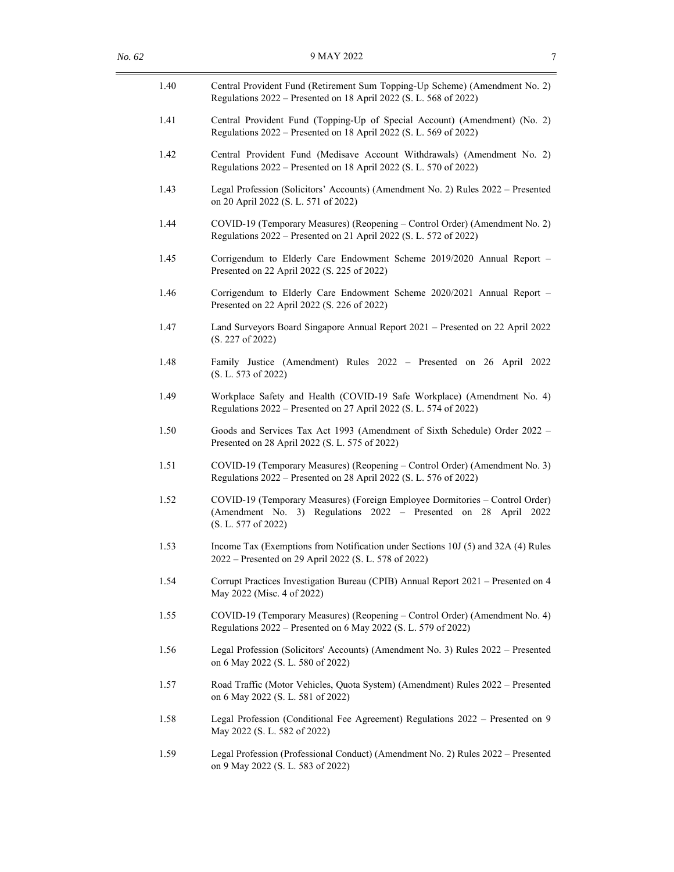| 1.40 | Central Provident Fund (Retirement Sum Topping-Up Scheme) (Amendment No. 2)<br>Regulations 2022 – Presented on 18 April 2022 (S. L. 568 of 2022)                       |
|------|------------------------------------------------------------------------------------------------------------------------------------------------------------------------|
| 1.41 | Central Provident Fund (Topping-Up of Special Account) (Amendment) (No. 2)<br>Regulations 2022 – Presented on 18 April 2022 (S. L. 569 of 2022)                        |
| 1.42 | Central Provident Fund (Medisave Account Withdrawals) (Amendment No. 2)<br>Regulations 2022 – Presented on 18 April 2022 (S. L. 570 of 2022)                           |
| 1.43 | Legal Profession (Solicitors' Accounts) (Amendment No. 2) Rules 2022 - Presented<br>on 20 April 2022 (S. L. 571 of 2022)                                               |
| 1.44 | COVID-19 (Temporary Measures) (Reopening – Control Order) (Amendment No. 2)<br>Regulations 2022 – Presented on 21 April 2022 (S. L. 572 of 2022)                       |
| 1.45 | Corrigendum to Elderly Care Endowment Scheme 2019/2020 Annual Report -<br>Presented on 22 April 2022 (S. 225 of 2022)                                                  |
| 1.46 | Corrigendum to Elderly Care Endowment Scheme 2020/2021 Annual Report -<br>Presented on 22 April 2022 (S. 226 of 2022)                                                  |
| 1.47 | Land Surveyors Board Singapore Annual Report 2021 - Presented on 22 April 2022<br>(S. 227 of 2022)                                                                     |
| 1.48 | Family Justice (Amendment) Rules 2022 - Presented on 26 April 2022<br>(S. L. 573 of 2022)                                                                              |
| 1.49 | Workplace Safety and Health (COVID-19 Safe Workplace) (Amendment No. 4)<br>Regulations 2022 – Presented on 27 April 2022 (S. L. 574 of 2022)                           |
| 1.50 | Goods and Services Tax Act 1993 (Amendment of Sixth Schedule) Order 2022 -<br>Presented on 28 April 2022 (S. L. 575 of 2022)                                           |
| 1.51 | COVID-19 (Temporary Measures) (Reopening – Control Order) (Amendment No. 3)<br>Regulations 2022 – Presented on 28 April 2022 (S. L. 576 of 2022)                       |
| 1.52 | COVID-19 (Temporary Measures) (Foreign Employee Dormitories - Control Order)<br>(Amendment No. 3) Regulations 2022 - Presented on 28 April 2022<br>(S. L. 577 of 2022) |
| 1.53 | Income Tax (Exemptions from Notification under Sections 10J (5) and 32A (4) Rules<br>2022 – Presented on 29 April 2022 (S. L. 578 of 2022)                             |
| 1.54 | Corrupt Practices Investigation Bureau (CPIB) Annual Report 2021 - Presented on 4<br>May 2022 (Misc. 4 of 2022)                                                        |
| 1.55 | COVID-19 (Temporary Measures) (Reopening – Control Order) (Amendment No. 4)<br>Regulations 2022 – Presented on 6 May 2022 (S. L. 579 of 2022)                          |
| 1.56 | Legal Profession (Solicitors' Accounts) (Amendment No. 3) Rules 2022 - Presented<br>on 6 May 2022 (S. L. 580 of 2022)                                                  |
| 1.57 | Road Traffic (Motor Vehicles, Quota System) (Amendment) Rules 2022 – Presented<br>on 6 May 2022 (S. L. 581 of 2022)                                                    |
| 1.58 | Legal Profession (Conditional Fee Agreement) Regulations 2022 - Presented on 9<br>May 2022 (S. L. 582 of 2022)                                                         |
| 1.59 | Legal Profession (Professional Conduct) (Amendment No. 2) Rules 2022 – Presented<br>on 9 May 2022 (S. L. 583 of 2022)                                                  |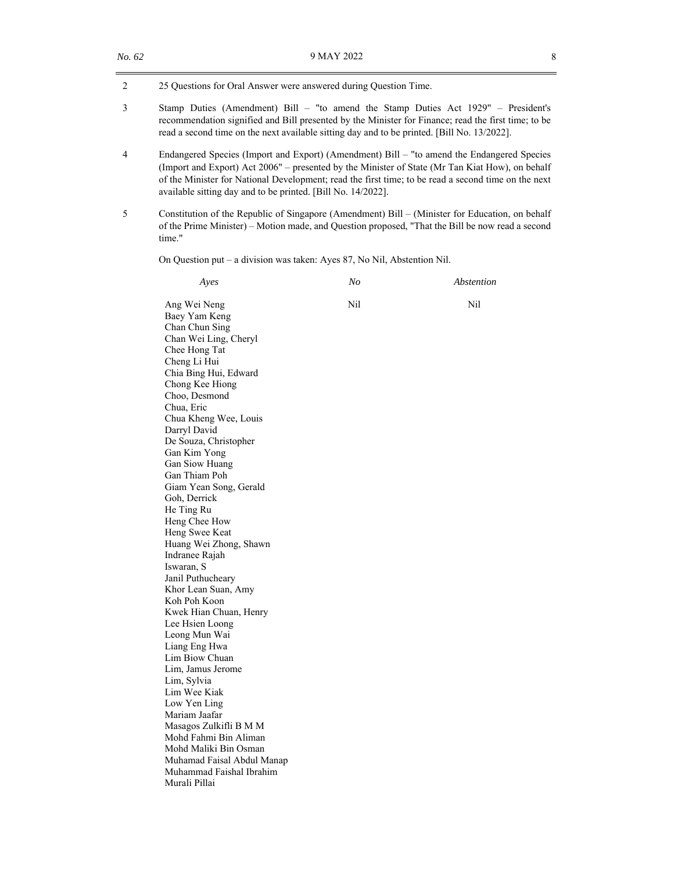2 25 Questions for Oral Answer were answered during Question Time.

- 3 Stamp Duties (Amendment) Bill "to amend the Stamp Duties Act 1929" President's recommendation signified and Bill presented by the Minister for Finance; read the first time; to be read a second time on the next available sitting day and to be printed. [Bill No. 13/2022].
- 4 Endangered Species (Import and Export) (Amendment) Bill "to amend the Endangered Species (Import and Export) Act 2006" – presented by the Minister of State (Mr Tan Kiat How), on behalf of the Minister for National Development; read the first time; to be read a second time on the next available sitting day and to be printed. [Bill No. 14/2022].
- 5 Constitution of the Republic of Singapore (Amendment) Bill (Minister for Education, on behalf of the Prime Minister) – Motion made, and Question proposed, "That the Bill be now read a second time."

On Question put – a division was taken: Ayes 87, No Nil, Abstention Nil.

| Ayes                                            | No  | Abstention |
|-------------------------------------------------|-----|------------|
| Ang Wei Neng<br>Baey Yam Keng                   | Nil | Nil        |
| Chan Chun Sing                                  |     |            |
| Chan Wei Ling, Cheryl                           |     |            |
| Chee Hong Tat                                   |     |            |
| Cheng Li Hui                                    |     |            |
| Chia Bing Hui, Edward                           |     |            |
| Chong Kee Hiong                                 |     |            |
| Choo, Desmond                                   |     |            |
| Chua, Eric                                      |     |            |
| Chua Kheng Wee, Louis                           |     |            |
| Darryl David                                    |     |            |
| De Souza, Christopher                           |     |            |
| Gan Kim Yong                                    |     |            |
| Gan Siow Huang                                  |     |            |
| Gan Thiam Poh                                   |     |            |
| Giam Yean Song, Gerald                          |     |            |
| Goh, Derrick                                    |     |            |
| He Ting Ru                                      |     |            |
| Heng Chee How                                   |     |            |
| Heng Swee Keat                                  |     |            |
| Huang Wei Zhong, Shawn                          |     |            |
| Indranee Rajah                                  |     |            |
| Iswaran, S                                      |     |            |
| Janil Puthucheary                               |     |            |
| Khor Lean Suan, Amy                             |     |            |
| Koh Poh Koon                                    |     |            |
| Kwek Hian Chuan, Henry                          |     |            |
| Lee Hsien Loong                                 |     |            |
| Leong Mun Wai                                   |     |            |
| Liang Eng Hwa                                   |     |            |
| Lim Biow Chuan                                  |     |            |
| Lim, Jamus Jerome                               |     |            |
| Lim, Sylvia                                     |     |            |
| Lim Wee Kiak                                    |     |            |
| Low Yen Ling                                    |     |            |
| Mariam Jaafar                                   |     |            |
| Masagos Zulkifli B M M<br>Mohd Fahmi Bin Aliman |     |            |
| Mohd Maliki Bin Osman                           |     |            |
| Muhamad Faisal Abdul Manap                      |     |            |
| Muhammad Faishal Ibrahim                        |     |            |
| Murali Pillai                                   |     |            |
|                                                 |     |            |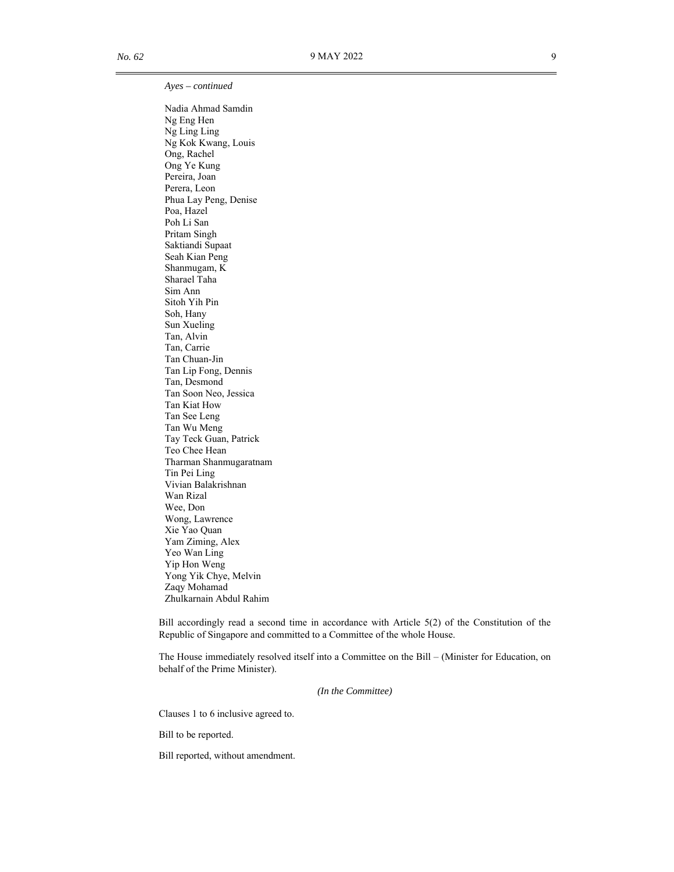*Ayes – continued*

Nadia Ahmad Samdin Ng Eng Hen Ng Ling Ling Ng Kok Kwang, Louis Ong, Rachel Ong Ye Kung Pereira, Joan Perera, Leon Phua Lay Peng, Denise Poa, Hazel Poh Li San Pritam Singh Saktiandi Supaat Seah Kian Peng Shanmugam, K Sharael Taha Sim Ann Sitoh Yih Pin Soh, Hany Sun Xueling Tan, Alvin Tan, Carrie Tan Chuan-Jin Tan Lip Fong, Dennis Tan, Desmond Tan Soon Neo, Jessica Tan Kiat How Tan See Leng Tan Wu Meng Tay Teck Guan, Patrick Teo Chee Hean Tharman Shanmugaratnam Tin Pei Ling Vivian Balakrishnan Wan Rizal Wee, Don Wong, Lawrence Xie Yao Quan Yam Ziming, Alex Yeo Wan Ling Yip Hon Weng Yong Yik Chye, Melvin Zaqy Mohamad Zhulkarnain Abdul Rahim

 Bill accordingly read a second time in accordance with Article 5(2) of the Constitution of the Republic of Singapore and committed to a Committee of the whole House.

 The House immediately resolved itself into a Committee on the Bill – (Minister for Education, on behalf of the Prime Minister).

*(In the Committee)* 

Clauses 1 to 6 inclusive agreed to.

Bill to be reported.

Bill reported, without amendment.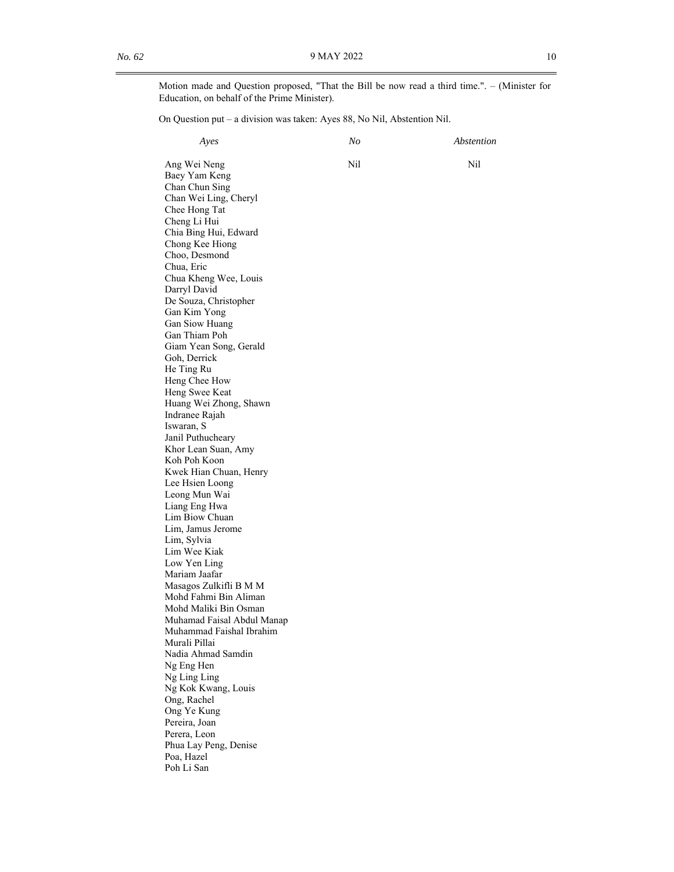Motion made and Question proposed, "That the Bill be now read a third time.". – (Minister for Education, on behalf of the Prime Minister).

On Question put – a division was taken: Ayes 88, No Nil, Abstention Nil.

| Ayes                                            | No  | Abstention |
|-------------------------------------------------|-----|------------|
| Ang Wei Neng                                    | Nil | Nil        |
| Baey Yam Keng                                   |     |            |
| Chan Chun Sing                                  |     |            |
| Chan Wei Ling, Cheryl                           |     |            |
| Chee Hong Tat                                   |     |            |
| Cheng Li Hui                                    |     |            |
| Chia Bing Hui, Edward                           |     |            |
| Chong Kee Hiong                                 |     |            |
| Choo, Desmond                                   |     |            |
| Chua, Eric                                      |     |            |
| Chua Kheng Wee, Louis                           |     |            |
| Darryl David                                    |     |            |
| De Souza, Christopher                           |     |            |
| Gan Kim Yong                                    |     |            |
| Gan Siow Huang                                  |     |            |
| Gan Thiam Poh                                   |     |            |
| Giam Yean Song, Gerald                          |     |            |
| Goh, Derrick                                    |     |            |
| He Ting Ru                                      |     |            |
| Heng Chee How<br>Heng Swee Keat                 |     |            |
| Huang Wei Zhong, Shawn                          |     |            |
| Indranee Rajah                                  |     |            |
| Iswaran, S                                      |     |            |
| Janil Puthucheary                               |     |            |
| Khor Lean Suan, Amy                             |     |            |
| Koh Poh Koon                                    |     |            |
| Kwek Hian Chuan, Henry                          |     |            |
| Lee Hsien Loong                                 |     |            |
| Leong Mun Wai                                   |     |            |
| Liang Eng Hwa                                   |     |            |
| Lim Biow Chuan                                  |     |            |
| Lim, Jamus Jerome                               |     |            |
| Lim, Sylvia                                     |     |            |
| Lim Wee Kiak                                    |     |            |
| Low Yen Ling                                    |     |            |
| Mariam Jaafar                                   |     |            |
| Masagos Zulkifli B M M<br>Mohd Fahmi Bin Aliman |     |            |
| Mohd Maliki Bin Osman                           |     |            |
| Muhamad Faisal Abdul Manap                      |     |            |
| Muhammad Faishal Ibrahim                        |     |            |
| Murali Pillai                                   |     |            |
| Nadia Ahmad Samdin                              |     |            |
| Ng Eng Hen                                      |     |            |
| Ng Ling Ling                                    |     |            |
| Ng Kok Kwang, Louis                             |     |            |
| Ong, Rachel                                     |     |            |
| Ong Ye Kung                                     |     |            |
| Pereira, Joan                                   |     |            |
| Perera, Leon                                    |     |            |
| Phua Lay Peng, Denise                           |     |            |
| Poa, Hazel                                      |     |            |
| Poh Li San                                      |     |            |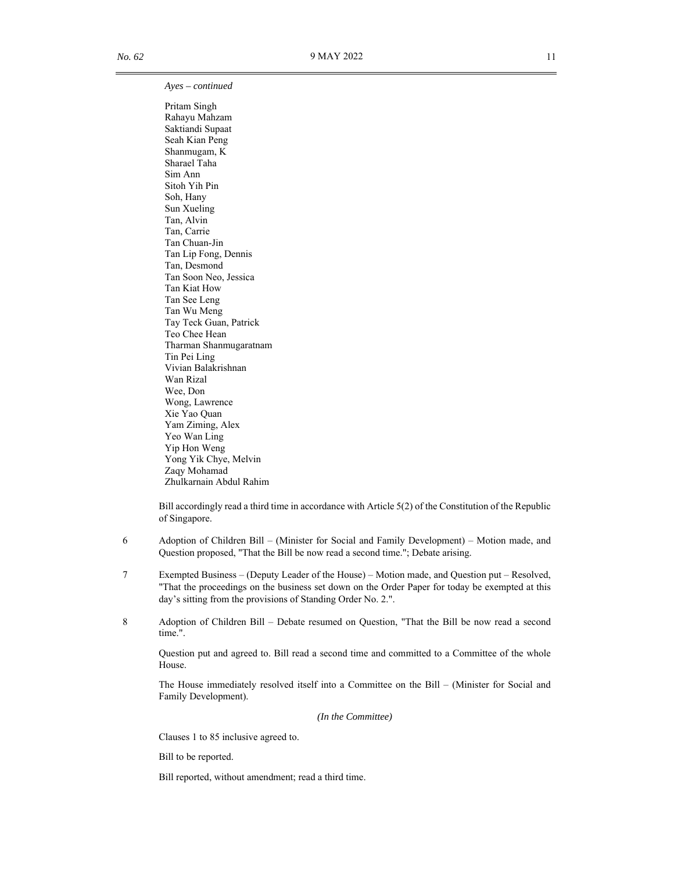### *Ayes – continued*

Pritam Singh Rahayu Mahzam Saktiandi Supaat Seah Kian Peng Shanmugam, K Sharael Taha Sim Ann Sitoh Yih Pin Soh, Hany Sun Xueling Tan, Alvin Tan, Carrie Tan Chuan-Jin Tan Lip Fong, Dennis Tan, Desmond Tan Soon Neo, Jessica Tan Kiat How Tan See Leng Tan Wu Meng Tay Teck Guan, Patrick Teo Chee Hean Tharman Shanmugaratnam Tin Pei Ling Vivian Balakrishnan Wan Rizal Wee, Don Wong, Lawrence Xie Yao Quan Yam Ziming, Alex Yeo Wan Ling Yip Hon Weng Yong Yik Chye, Melvin Zaqy Mohamad Zhulkarnain Abdul Rahim

 Bill accordingly read a third time in accordance with Article 5(2) of the Constitution of the Republic of Singapore.

- 6 Adoption of Children Bill (Minister for Social and Family Development) Motion made, and Question proposed, "That the Bill be now read a second time."; Debate arising.
- 7 Exempted Business (Deputy Leader of the House) Motion made, and Question put Resolved, "That the proceedings on the business set down on the Order Paper for today be exempted at this day's sitting from the provisions of Standing Order No. 2.".
- 8 Adoption of Children Bill Debate resumed on Question, "That the Bill be now read a second time.".

Question put and agreed to. Bill read a second time and committed to a Committee of the whole House.

The House immediately resolved itself into a Committee on the Bill – (Minister for Social and Family Development).

*(In the Committee)* 

Clauses 1 to 85 inclusive agreed to.

Bill to be reported.

Bill reported, without amendment; read a third time.